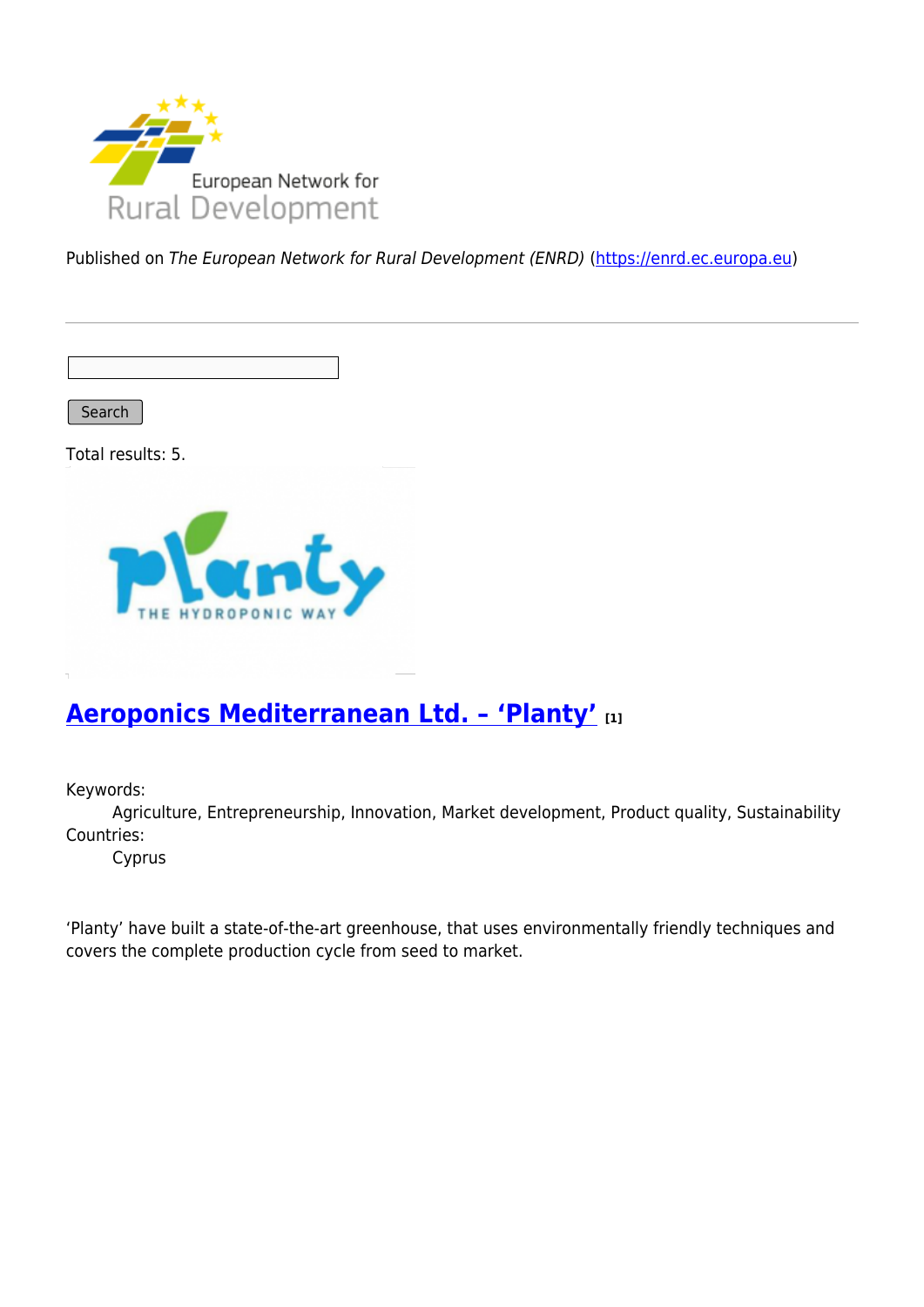

Published on The European Network for Rural Development (ENRD) [\(https://enrd.ec.europa.eu](https://enrd.ec.europa.eu))

Search

Total results: 5.



### **[Aeroponics Mediterranean Ltd. – 'Planty'](https://enrd.ec.europa.eu/projects-practice/aeroponics-mediterranean-ltd-planty_en) [1]**

Keywords:

Agriculture, Entrepreneurship, Innovation, Market development, Product quality, Sustainability Countries:

Cyprus

'Planty' have built a state-of-the-art greenhouse, that uses environmentally friendly techniques and covers the complete production cycle from seed to market.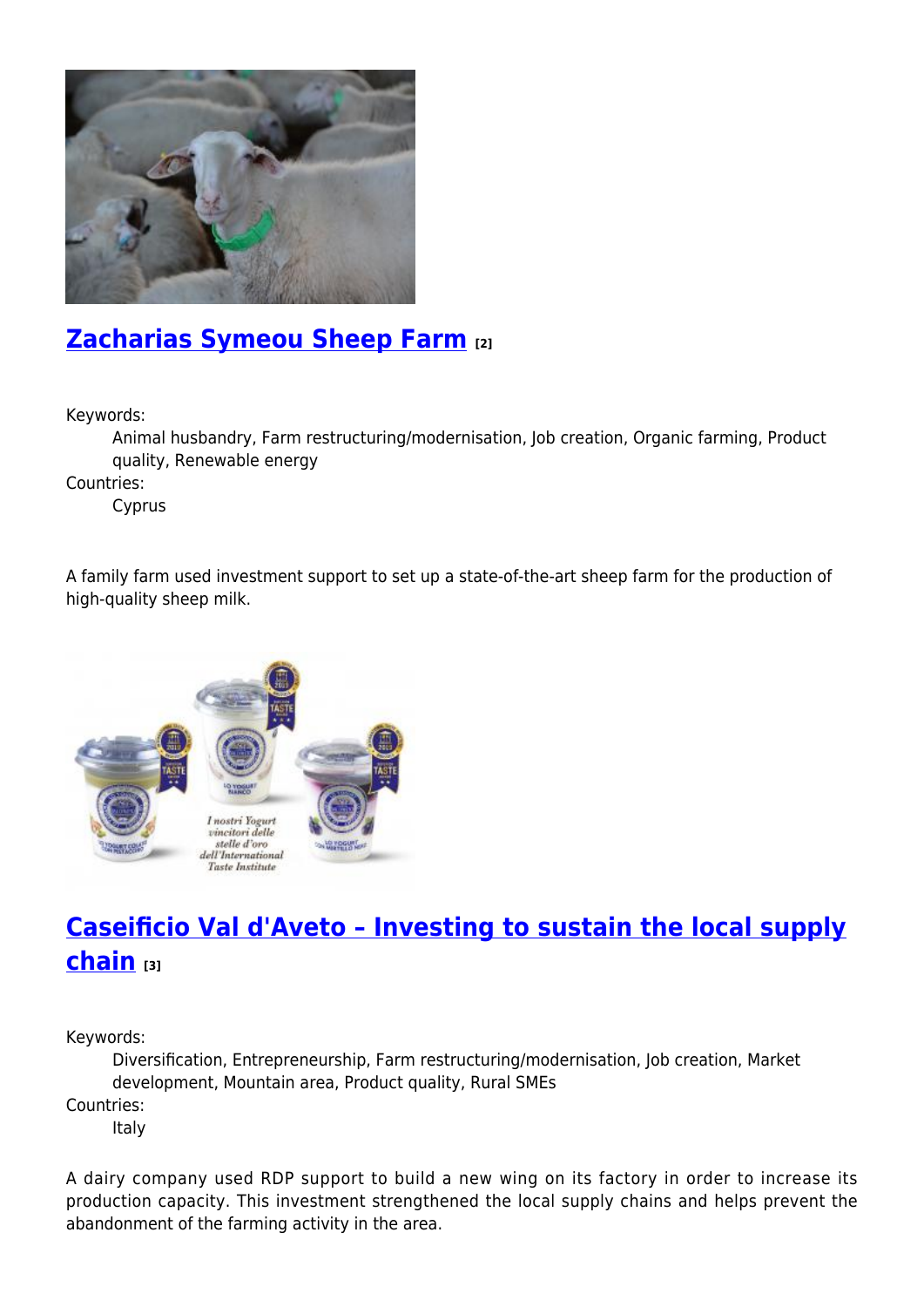

## **[Zacharias Symeou Sheep Farm](https://enrd.ec.europa.eu/projects-practice/zacharias-symeou-sheep-farm_en) [2]**

Keywords:

Animal husbandry, Farm restructuring/modernisation, Job creation, Organic farming, Product quality, Renewable energy

Countries:

Cyprus

A family farm used investment support to set up a state-of-the-art sheep farm for the production of high-quality sheep milk.



# **[Caseificio Val d'Aveto – Investing to sustain the local supply](https://enrd.ec.europa.eu/projects-practice/caseificio-val-daveto-investing-sustain-local-supply-chain_en) [chain](https://enrd.ec.europa.eu/projects-practice/caseificio-val-daveto-investing-sustain-local-supply-chain_en) [3]**

Keywords:

Diversification, Entrepreneurship, Farm restructuring/modernisation, Job creation, Market development, Mountain area, Product quality, Rural SMEs

Countries:

Italy

A dairy company used RDP support to build a new wing on its factory in order to increase its production capacity. This investment strengthened the local supply chains and helps prevent the abandonment of the farming activity in the area.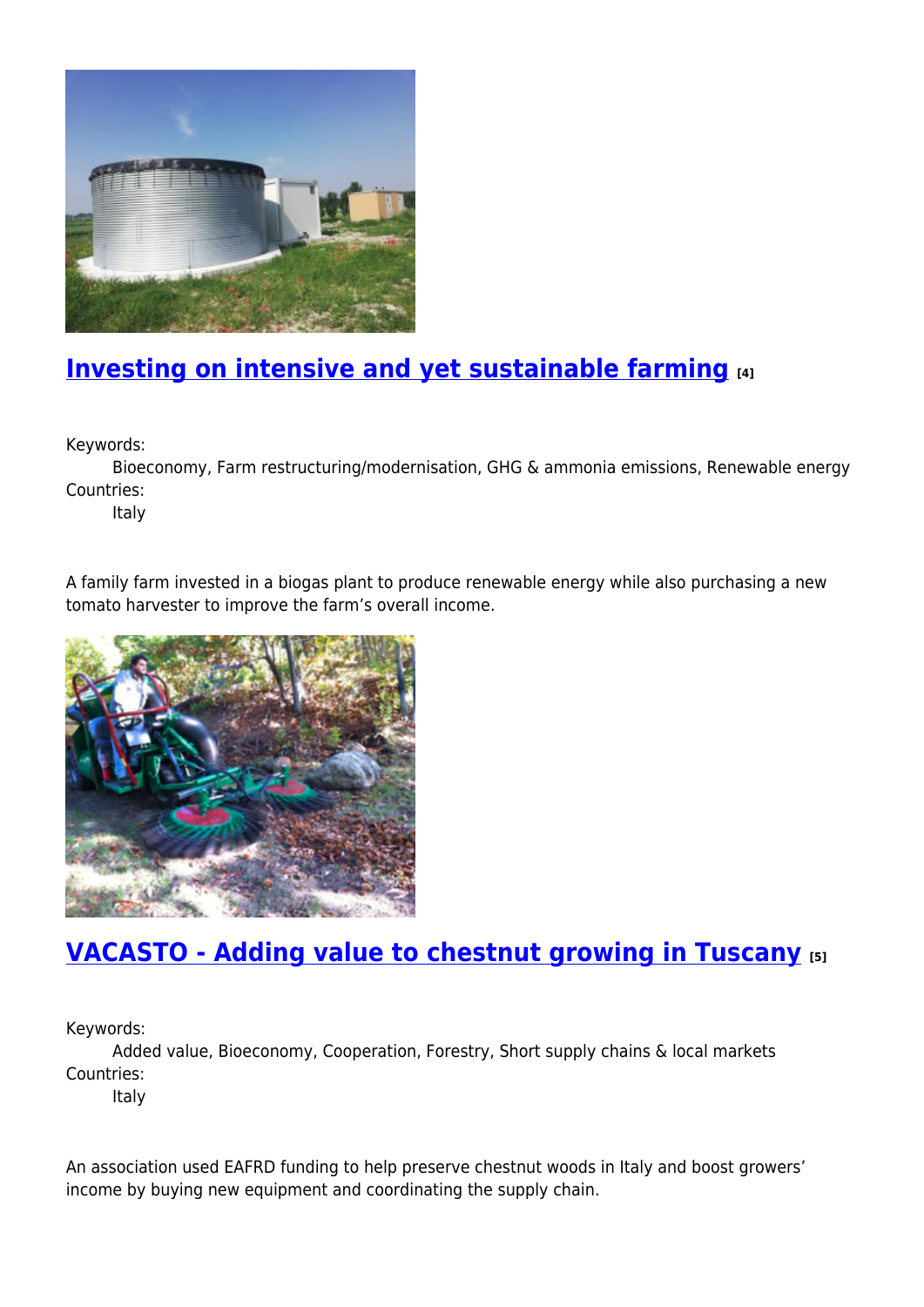

# **[Investing on intensive and yet sustainable farming](https://enrd.ec.europa.eu/projects-practice/investing-intensive-and-yet-sustainable-farming_en) [4]**

Keywords:

Bioeconomy, Farm restructuring/modernisation, GHG & ammonia emissions, Renewable energy Countries:

Italy

A family farm invested in a biogas plant to produce renewable energy while also purchasing a new tomato harvester to improve the farm's overall income.



## **[VACASTO - Adding value to chestnut growing in Tuscany](https://enrd.ec.europa.eu/projects-practice/vacasto-adding-value-chestnut-growing-tuscany_en) [5]**

Keywords:

Added value, Bioeconomy, Cooperation, Forestry, Short supply chains & local markets Countries:

Italy

An association used EAFRD funding to help preserve chestnut woods in Italy and boost growers' income by buying new equipment and coordinating the supply chain.